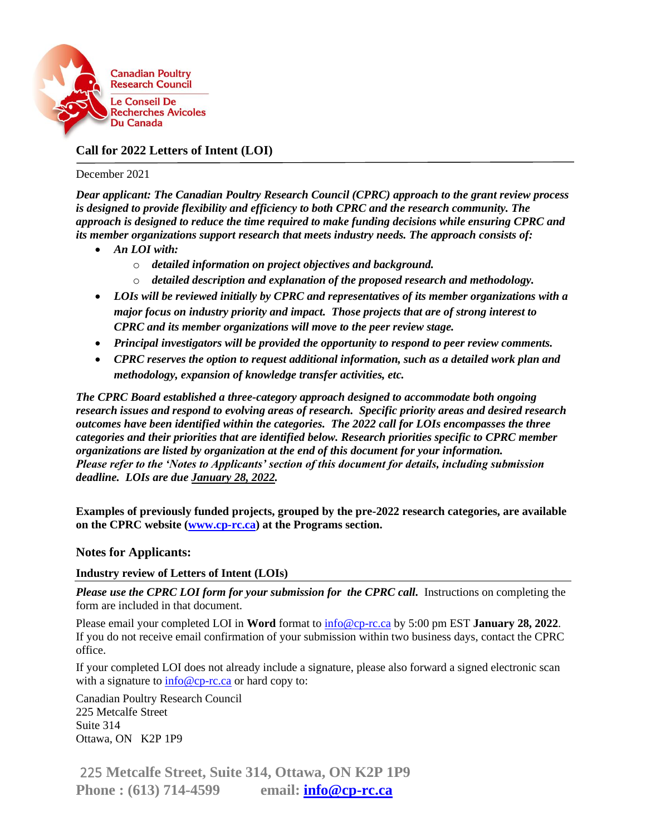

## **Call for 2022 Letters of Intent (LOI)**

#### December 2021

*Dear applicant: The Canadian Poultry Research Council (CPRC) approach to the grant review process is designed to provide flexibility and efficiency to both CPRC and the research community. The approach is designed to reduce the time required to make funding decisions while ensuring CPRC and its member organizations support research that meets industry needs. The approach consists of:*

- *An LOI with:*
	- o *detailed information on project objectives and background.*
	- o *detailed description and explanation of the proposed research and methodology.*
- *LOIs will be reviewed initially by CPRC and representatives of its member organizations with a major focus on industry priority and impact. Those projects that are of strong interest to CPRC and its member organizations will move to the peer review stage.*
- *Principal investigators will be provided the opportunity to respond to peer review comments.*
- *CPRC reserves the option to request additional information, such as a detailed work plan and methodology, expansion of knowledge transfer activities, etc.*

*The CPRC Board established a three-category approach designed to accommodate both ongoing research issues and respond to evolving areas of research. Specific priority areas and desired research outcomes have been identified within the categories. The 2022 call for LOIs encompasses the three categories and their priorities that are identified below. Research priorities specific to CPRC member organizations are listed by organization at the end of this document for your information. Please refer to the 'Notes to Applicants' section of this document for details, including submission deadline. LOIs are due January 28, 2022.*

**Examples of previously funded projects, grouped by the pre-2022 research categories, are available on the CPRC website [\(www.cp-rc.ca\)](http://www.cp-rc.ca/) at the Programs section.**

#### **Notes for Applicants:**

#### **Industry review of Letters of Intent (LOIs)**

*Please use the CPRC LOI form for your submission for the CPRC call.* Instructions on completing the form are included in that document.

Please email your completed LOI in **Word** format to [info@cp-rc.ca](mailto:info@cp-rc.ca) by 5:00 pm EST **January 28, 2022**. If you do not receive email confirmation of your submission within two business days, contact the CPRC office.

If your completed LOI does not already include a signature, please also forward a signed electronic scan with a signature to  $info@cp-rc.ca$  or hard copy to:

Canadian Poultry Research Council 225 Metcalfe Street Suite 314 Ottawa, ON K2P 1P9

 225 **Metcalfe Street, Suite 314, Ottawa, ON K2P 1P9 Phone : (613) 714-4599 email: [info@cp-rc.ca](mailto:info@cp-rc.ca)**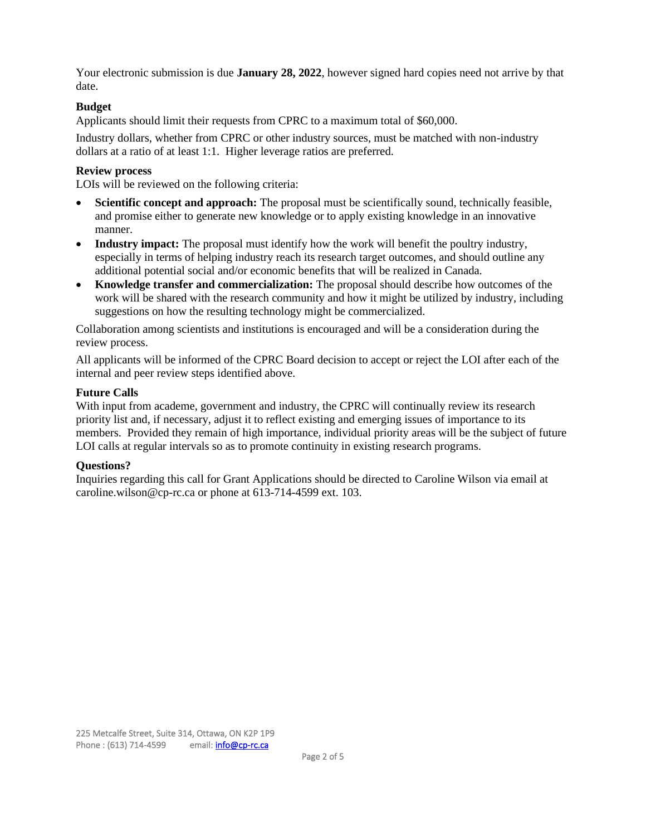Your electronic submission is due **January 28, 2022**, however signed hard copies need not arrive by that date.

### **Budget**

Applicants should limit their requests from CPRC to a maximum total of \$60,000.

Industry dollars, whether from CPRC or other industry sources, must be matched with non-industry dollars at a ratio of at least 1:1. Higher leverage ratios are preferred.

### **Review process**

LOIs will be reviewed on the following criteria:

- **Scientific concept and approach:** The proposal must be scientifically sound, technically feasible, and promise either to generate new knowledge or to apply existing knowledge in an innovative manner.
- **Industry impact:** The proposal must identify how the work will benefit the poultry industry, especially in terms of helping industry reach its research target outcomes, and should outline any additional potential social and/or economic benefits that will be realized in Canada.
- **Knowledge transfer and commercialization:** The proposal should describe how outcomes of the work will be shared with the research community and how it might be utilized by industry, including suggestions on how the resulting technology might be commercialized.

Collaboration among scientists and institutions is encouraged and will be a consideration during the review process.

All applicants will be informed of the CPRC Board decision to accept or reject the LOI after each of the internal and peer review steps identified above.

### **Future Calls**

With input from academe, government and industry, the CPRC will continually review its research priority list and, if necessary, adjust it to reflect existing and emerging issues of importance to its members. Provided they remain of high importance, individual priority areas will be the subject of future LOI calls at regular intervals so as to promote continuity in existing research programs.

### **Questions?**

Inquiries regarding this call for Grant Applications should be directed to Caroline Wilson via email at caroline.wilson@cp-rc.ca or phone at 613-714-4599 ext. 103.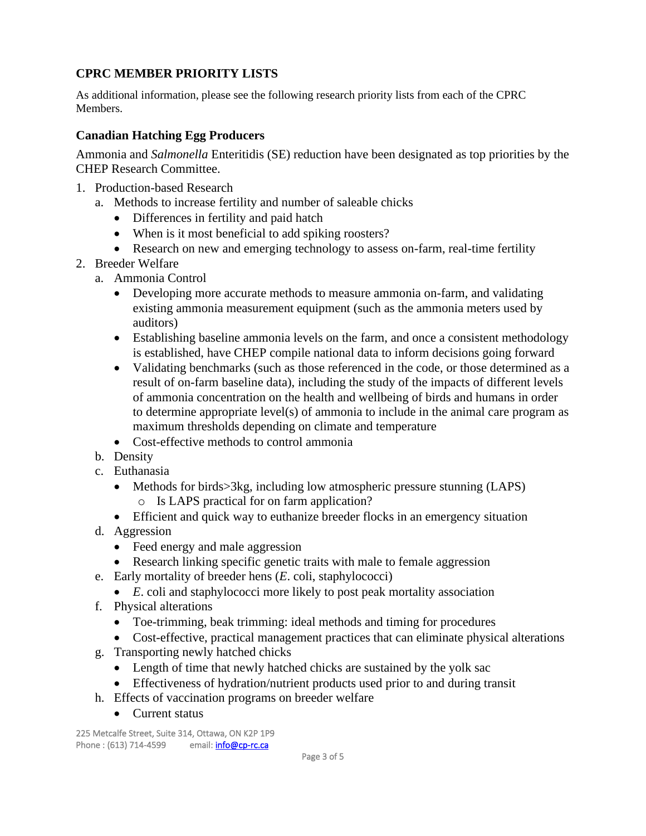# **CPRC MEMBER PRIORITY LISTS**

As additional information, please see the following research priority lists from each of the CPRC Members.

### **Canadian Hatching Egg Producers**

Ammonia and *Salmonella* Enteritidis (SE) reduction have been designated as top priorities by the CHEP Research Committee.

- 1. Production-based Research
	- a. Methods to increase fertility and number of saleable chicks
		- Differences in fertility and paid hatch
		- When is it most beneficial to add spiking roosters?
		- Research on new and emerging technology to assess on-farm, real-time fertility
- 2. Breeder Welfare
	- a. Ammonia Control
		- Developing more accurate methods to measure ammonia on-farm, and validating existing ammonia measurement equipment (such as the ammonia meters used by auditors)
		- Establishing baseline ammonia levels on the farm, and once a consistent methodology is established, have CHEP compile national data to inform decisions going forward
		- Validating benchmarks (such as those referenced in the code, or those determined as a result of on-farm baseline data), including the study of the impacts of different levels of ammonia concentration on the health and wellbeing of birds and humans in order to determine appropriate level(s) of ammonia to include in the animal care program as maximum thresholds depending on climate and temperature
		- Cost-effective methods to control ammonia
	- b. Density
	- c. Euthanasia
		- Methods for birds>3kg, including low atmospheric pressure stunning (LAPS) o Is LAPS practical for on farm application?
		- Efficient and quick way to euthanize breeder flocks in an emergency situation
	- d. Aggression
		- Feed energy and male aggression
		- Research linking specific genetic traits with male to female aggression
	- e. Early mortality of breeder hens (*E*. coli, staphylococci)
		- *E*. coli and staphylococci more likely to post peak mortality association
	- f. Physical alterations
		- Toe-trimming, beak trimming: ideal methods and timing for procedures
		- Cost-effective, practical management practices that can eliminate physical alterations
	- g. Transporting newly hatched chicks
		- Length of time that newly hatched chicks are sustained by the yolk sac
		- Effectiveness of hydration/nutrient products used prior to and during transit
	- h. Effects of vaccination programs on breeder welfare
		- Current status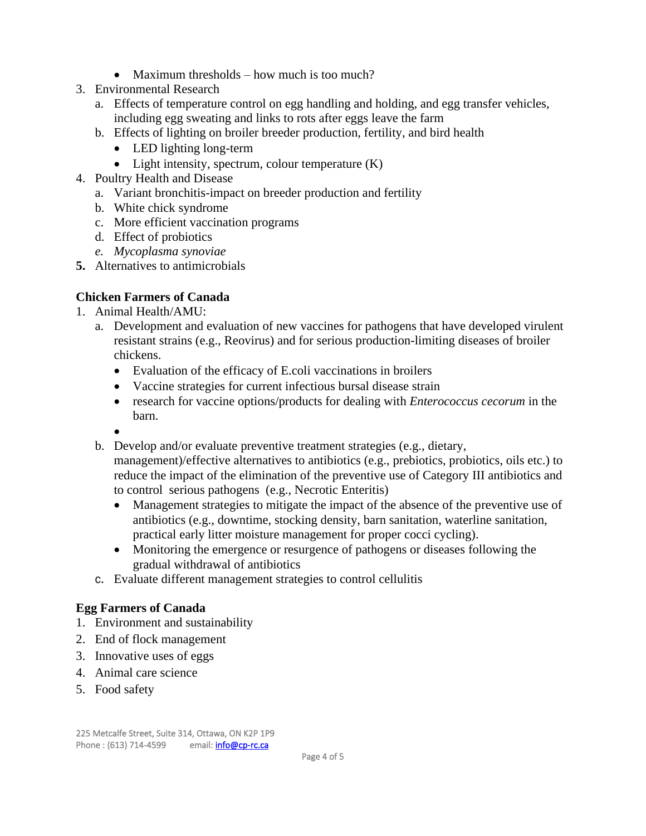- Maximum thresholds how much is too much?
- 3. Environmental Research
	- a. Effects of temperature control on egg handling and holding, and egg transfer vehicles, including egg sweating and links to rots after eggs leave the farm
	- b. Effects of lighting on broiler breeder production, fertility, and bird health
		- LED lighting long-term
		- Light intensity, spectrum, colour temperature (K)
- 4. Poultry Health and Disease
	- a. Variant bronchitis-impact on breeder production and fertility
	- b. White chick syndrome
	- c. More efficient vaccination programs
	- d. Effect of probiotics
	- *e. Mycoplasma synoviae*
- **5.** Alternatives to antimicrobials

## **Chicken Farmers of Canada**

- 1. Animal Health/AMU:
	- a. Development and evaluation of new vaccines for pathogens that have developed virulent resistant strains (e.g., Reovirus) and for serious production-limiting diseases of broiler chickens.
		- Evaluation of the efficacy of E.coli vaccinations in broilers
		- Vaccine strategies for current infectious bursal disease strain
		- research for vaccine options/products for dealing with *Enterococcus cecorum* in the barn.
		- •
	- b. Develop and/or evaluate preventive treatment strategies (e.g., dietary, management)/effective alternatives to antibiotics (e.g., prebiotics, probiotics, oils etc.) to reduce the impact of the elimination of the preventive use of Category III antibiotics and to control serious pathogens (e.g., Necrotic Enteritis)
		- Management strategies to mitigate the impact of the absence of the preventive use of antibiotics (e.g., downtime, stocking density, barn sanitation, waterline sanitation, practical early litter moisture management for proper cocci cycling).
		- Monitoring the emergence or resurgence of pathogens or diseases following the gradual withdrawal of antibiotics
	- c. Evaluate different management strategies to control cellulitis

## **Egg Farmers of Canada**

- 1. Environment and sustainability
- 2. End of flock management
- 3. Innovative uses of eggs
- 4. Animal care science
- 5. Food safety